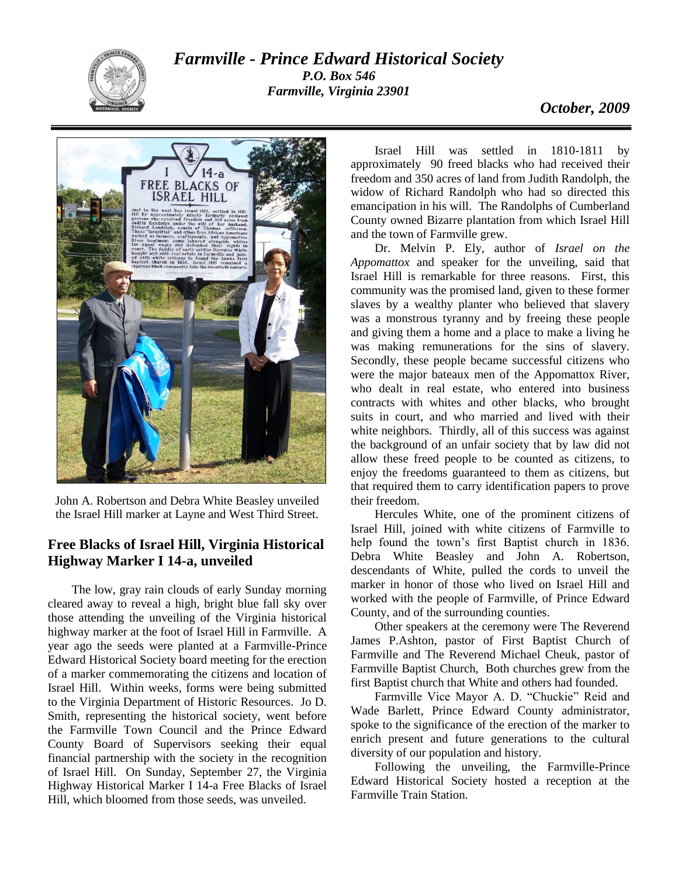

*Farmville - Prince Edward Historical Society P.O. Box 546 Farmville, Virginia 23901*



John A. Robertson and Debra White Beasley unveiled the Israel Hill marker at Layne and West Third Street.

## **Free Blacks of Israel Hill, Virginia Historical Highway Marker I 14-a, unveiled**

The low, gray rain clouds of early Sunday morning cleared away to reveal a high, bright blue fall sky over those attending the unveiling of the Virginia historical highway marker at the foot of Israel Hill in Farmville. A year ago the seeds were planted at a Farmville-Prince Edward Historical Society board meeting for the erection of a marker commemorating the citizens and location of Israel Hill. Within weeks, forms were being submitted to the Virginia Department of Historic Resources. Jo D. Smith, representing the historical society, went before the Farmville Town Council and the Prince Edward County Board of Supervisors seeking their equal financial partnership with the society in the recognition of Israel Hill. On Sunday, September 27, the Virginia Highway Historical Marker I 14-a Free Blacks of Israel Hill, which bloomed from those seeds, was unveiled.

Israel Hill was settled in 1810-1811 by approximately 90 freed blacks who had received their freedom and 350 acres of land from Judith Randolph, the widow of Richard Randolph who had so directed this emancipation in his will. The Randolphs of Cumberland County owned Bizarre plantation from which Israel Hill and the town of Farmville grew.

Dr. Melvin P. Ely, author of *Israel on the Appomattox* and speaker for the unveiling, said that Israel Hill is remarkable for three reasons. First, this community was the promised land, given to these former slaves by a wealthy planter who believed that slavery was a monstrous tyranny and by freeing these people and giving them a home and a place to make a living he was making remunerations for the sins of slavery. Secondly, these people became successful citizens who were the major bateaux men of the Appomattox River, who dealt in real estate, who entered into business contracts with whites and other blacks, who brought suits in court, and who married and lived with their white neighbors. Thirdly, all of this success was against the background of an unfair society that by law did not allow these freed people to be counted as citizens, to enjoy the freedoms guaranteed to them as citizens, but that required them to carry identification papers to prove their freedom.

Hercules White, one of the prominent citizens of Israel Hill, joined with white citizens of Farmville to help found the town's first Baptist church in 1836. Debra White Beasley and John A. Robertson, descendants of White, pulled the cords to unveil the marker in honor of those who lived on Israel Hill and worked with the people of Farmville, of Prince Edward County, and of the surrounding counties.

Other speakers at the ceremony were The Reverend James P.Ashton, pastor of First Baptist Church of Farmville and The Reverend Michael Cheuk, pastor of Farmville Baptist Church, Both churches grew from the first Baptist church that White and others had founded.

Farmville Vice Mayor A. D. "Chuckie" Reid and Wade Barlett, Prince Edward County administrator, spoke to the significance of the erection of the marker to enrich present and future generations to the cultural diversity of our population and history.

Following the unveiling, the Farmville-Prince Edward Historical Society hosted a reception at the Farmville Train Station.